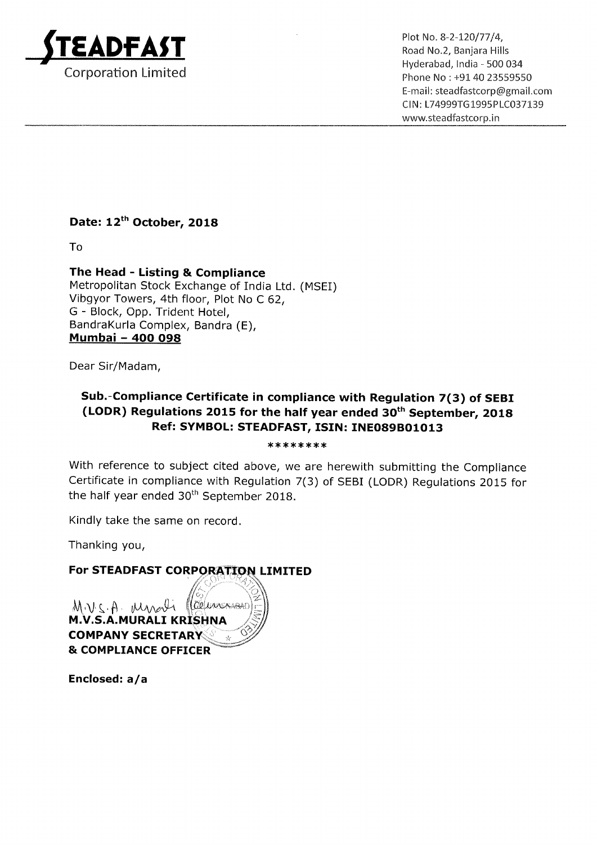

 $\mathsf{D}\mathsf{F}\mathsf{\Delta}\mathsf{ST}$  Plot No. 8-2-120/77/4, Road No.2, Banjara Hills Hyderabad, lndia — 500 034 Corporation Limited **Phone No : +91 40 23559550** E—mail: steadfastcorp@gmail.com CI N: L74999TG 1995PLC037139 www.5teadfastcorp.in

## Date: 12<sup>th</sup> October, 2018

To

## The Head - Listing & Compliance

Metropolitan Stock Exchange of India Ltd. (MSEI) Vibgyor Towers, 4th floor, Plot No <sup>C</sup> 62, G — Block, Opp. Trident Hotel, BandraKurla Complex, Bandra (E), Mumbai — 400 098

Dear Sir/Madam,

## Sub.—Compliance Certificate in compliance with Regulation 7(3) of SEBI (LODR) Regulations 2015 for the half year ended  $30<sup>th</sup>$  September, 2018 Ref: SYMBOL: STEADFAST, ISIN: INE089B01013

'

\*\*\*\*\*\*\*\*

With reference to subject cited above, we are herewith submitting the Compliance Certificate in compliance with Regulation 7(3) of SEBI (LODR) Regulations 2015 for the half year ended  $30<sup>th</sup>$  September 2018.

Kindly take the same on record.

Thanking you,

## For STEADFAST CORPORATION LIMITED

COLLARCHAEL MVSA Myrali **M.V.S.A.MURALI KRISHNA COMPANY SECRETARY & COMPLIANCE OFFICER** 

Enclosed: a/a